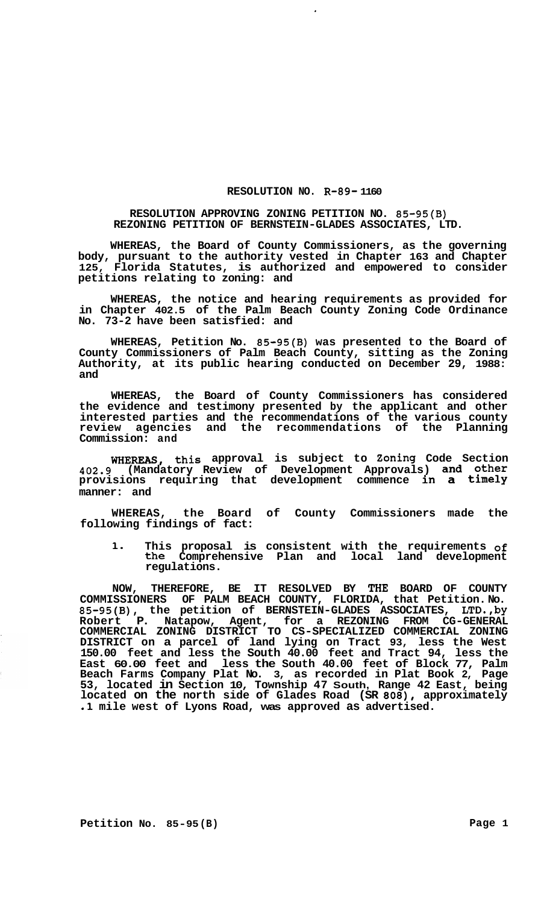## **RESOLUTION NO. R-89- 1160**

 $\cdot$ 

## **RESOLUTION APPROVING ZONING PETITION NO. 85-95(B) REZONING PETITION OF BERNSTEIN-GLADES ASSOCIATES, LTD.**

**WHEREAS, the Board of County Commissioners, as the governing body, pursuant to the authority vested in Chapter 163 and Chapter 125, Florida Statutes, is authorized and empowered to consider petitions relating to zoning: and** 

**WHEREAS, the notice and hearing requirements as provided for in Chapter 402.5 of the Palm Beach County Zoning Code Ordinance No. 73-2 have been satisfied: and** 

**WHEREAS, Petition No. 85-95(B) was presented to the Board of County Commissioners of Palm Beach County, sitting as the Zoning Authority, at its public hearing conducted on December 29, 1988: and** 

**WHEREAS, the Board of County Commissioners has considered the evidence and testimony presented by the applicant and other interested parties and the recommendations of the various county review agencies and the recommendations of the Planning Commission: and** 

**WHEREAS, this approval is subject to Zoning Code Section 402.9 (Mandatory Review of Development Approvals) and other provisions requiring that development commence in a timely manner: and** 

**WHEREAS, the Board of County Commissioners made the following findings of fact:** 

**1, This proposal is consistent with the requirements of the Comprehensive Plan and local land development regulations.** 

**NOW, THEREFORE, BE IT RESOLVED BY THE BOARD OF COUNTY COMMISSIONERS OF PALM BEACH COUNTY, FLORIDA, that Petition. No. 85-95(B), the petition of BERNSTEIN-GLADES ASSOCIATES, LTD.,by Robert P. Natapow, Agent, for a REZONING FROM CG-GENERAL DISTRICT on a parcel of land lying on Tract 93, less the West 150.00 feet and less the South 40.00 feet and Tract 94, less the East 60.00 feet and less the South 40.00 feet of Block 77, Palm Beach Farms Company Plat No. 3, as recorded in Plat Book 2, Page 53, located in Section 10, Township 47 South, Range 42 East, being located on the north side of Glades Road (SR** *808),* **approximately .1 mile west of Lyons Road, was approved as advertised. COMMERCIAL ZONING DISTRICT TO CS-SPECIALIZED COMMERCIAL ZONING**